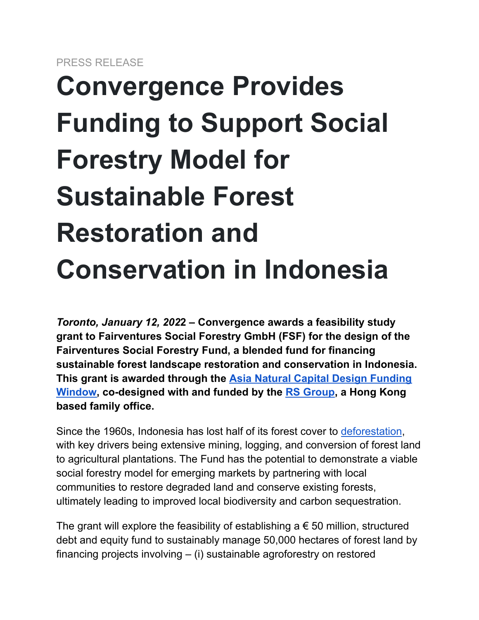## **Convergence Provides Funding to Support Social Forestry Model for Sustainable Forest Restoration and Conservation in Indonesia**

*Toronto, January 12, 202***2 – Convergence awards a feasibility study grant to Fairventures Social Forestry GmbH (FSF) for the design of the Fairventures Social Forestry Fund, a blended fund for financing sustainable forest landscape restoration and conservation in Indonesia. This grant is awarded through the [Asia Natural Capital](https://www.convergence.finance/design-funding/open-window/asia-natural-capital-open-window) Design Funding [Window,](https://www.convergence.finance/design-funding/open-window/asia-natural-capital-open-window) co-designed with and funded by the [RS Group](https://www.rsgroup.asia/), a Hong Kong based family office.**

Since the 1960s, Indonesia has lost half of its forest cover to [deforestation](https://www.theguardian.com/world/2021/nov/05/indonesia-says-cop26-zero-deforestation-pledge-it-signed-unfair), with key drivers being extensive mining, logging, and conversion of forest land to agricultural plantations. The Fund has the potential to demonstrate a viable social forestry model for emerging markets by partnering with local communities to restore degraded land and conserve existing forests, ultimately leading to improved local biodiversity and carbon sequestration.

The grant will explore the feasibility of establishing  $a \in 50$  million, structured debt and equity fund to sustainably manage 50,000 hectares of forest land by financing projects involving – (i) sustainable agroforestry on restored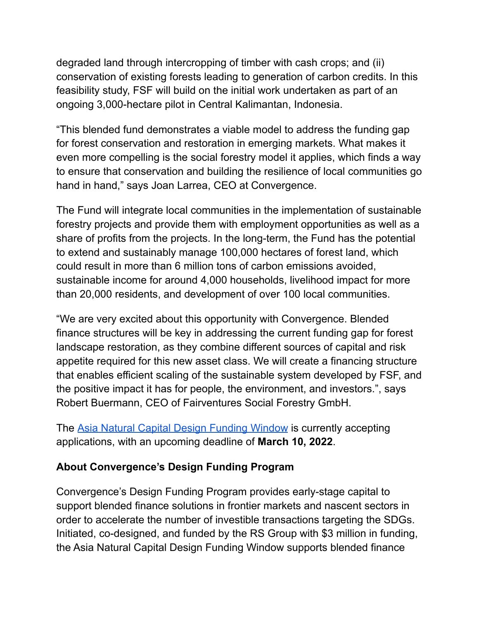degraded land through intercropping of timber with cash crops; and (ii) conservation of existing forests leading to generation of carbon credits. In this feasibility study, FSF will build on the initial work undertaken as part of an ongoing 3,000-hectare pilot in Central Kalimantan, Indonesia.

"This blended fund demonstrates a viable model to address the funding gap for forest conservation and restoration in emerging markets. What makes it even more compelling is the social forestry model it applies, which finds a way to ensure that conservation and building the resilience of local communities go hand in hand," says Joan Larrea, CEO at Convergence.

The Fund will integrate local communities in the implementation of sustainable forestry projects and provide them with employment opportunities as well as a share of profits from the projects. In the long-term, the Fund has the potential to extend and sustainably manage 100,000 hectares of forest land, which could result in more than 6 million tons of carbon emissions avoided, sustainable income for around 4,000 households, livelihood impact for more than 20,000 residents, and development of over 100 local communities.

"We are very excited about this opportunity with Convergence. Blended finance structures will be key in addressing the current funding gap for forest landscape restoration, as they combine different sources of capital and risk appetite required for this new asset class. We will create a financing structure that enables efficient scaling of the sustainable system developed by FSF, and the positive impact it has for people, the environment, and investors.", says Robert Buermann, CEO of Fairventures Social Forestry GmbH.

The [Asia Natural Capital Design Funding Window](https://www.convergence.finance/design-funding/open-window/asia-natural-capital-open-window%5D) is currently accepting applications, with an upcoming deadline of **March 10, 2022**.

## **About Convergence's Design Funding Program**

Convergence's Design Funding Program provides early-stage capital to support blended finance solutions in frontier markets and nascent sectors in order to accelerate the number of investible transactions targeting the SDGs. Initiated, co-designed, and funded by the RS Group with \$3 million in funding, the Asia Natural Capital Design Funding Window supports blended finance